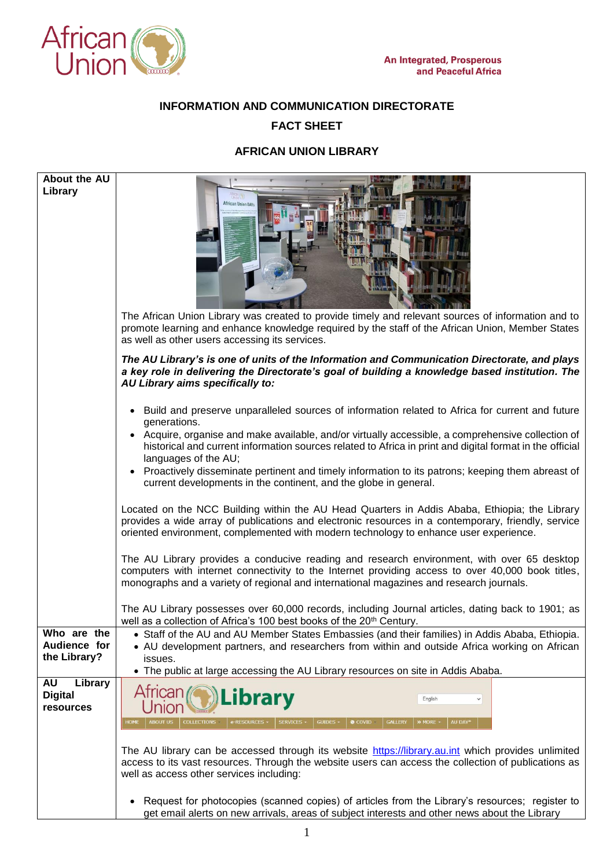

## **INFORMATION AND COMMUNICATION DIRECTORATE FACT SHEET**

## **AFRICAN UNION LIBRARY**

| About the AU<br>Library                     | <b>African Union DAYs</b><br>The African Union Library was created to provide timely and relevant sources of information and to<br>promote learning and enhance knowledge required by the staff of the African Union, Member States<br>as well as other users accessing its services.                                                                                                                                                                                                                                                 |
|---------------------------------------------|---------------------------------------------------------------------------------------------------------------------------------------------------------------------------------------------------------------------------------------------------------------------------------------------------------------------------------------------------------------------------------------------------------------------------------------------------------------------------------------------------------------------------------------|
|                                             | The AU Library's is one of units of the Information and Communication Directorate, and plays<br>a key role in delivering the Directorate's goal of building a knowledge based institution. The<br>AU Library aims specifically to:                                                                                                                                                                                                                                                                                                    |
|                                             | • Build and preserve unparalleled sources of information related to Africa for current and future<br>generations.<br>• Acquire, organise and make available, and/or virtually accessible, a comprehensive collection of<br>historical and current information sources related to Africa in print and digital format in the official<br>languages of the AU;<br>• Proactively disseminate pertinent and timely information to its patrons; keeping them abreast of<br>current developments in the continent, and the globe in general. |
|                                             | Located on the NCC Building within the AU Head Quarters in Addis Ababa, Ethiopia; the Library<br>provides a wide array of publications and electronic resources in a contemporary, friendly, service<br>oriented environment, complemented with modern technology to enhance user experience.                                                                                                                                                                                                                                         |
|                                             | The AU Library provides a conducive reading and research environment, with over 65 desktop<br>computers with internet connectivity to the Internet providing access to over 40,000 book titles,<br>monographs and a variety of regional and international magazines and research journals.                                                                                                                                                                                                                                            |
|                                             | The AU Library possesses over 60,000 records, including Journal articles, dating back to 1901; as<br>well as a collection of Africa's 100 best books of the 20 <sup>th</sup> Century.                                                                                                                                                                                                                                                                                                                                                 |
| Who are the<br>Audience for<br>the Library? | • Staff of the AU and AU Member States Embassies (and their families) in Addis Ababa, Ethiopia.<br>• AU development partners, and researchers from within and outside Africa working on African<br>issues.<br>• The public at large accessing the AU Library resources on site in Addis Ababa.                                                                                                                                                                                                                                        |
| Library<br><b>AU</b><br><b>Digital</b>      | <b>Atrican</b><br>Library<br>English                                                                                                                                                                                                                                                                                                                                                                                                                                                                                                  |
| resources                                   | <b>GALLERY</b><br>AU DAY <sup>*</sup><br><b>ABOUT US</b><br><b>COLLECTIONS</b><br>GUIDES -<br><b>A</b> COVID<br>» MORE<br>HOME<br>e-RESOURCES<br><b>SERVICES</b>                                                                                                                                                                                                                                                                                                                                                                      |
|                                             | The AU library can be accessed through its website https://library.au.int which provides unlimited<br>access to its vast resources. Through the website users can access the collection of publications as<br>well as access other services including:                                                                                                                                                                                                                                                                                |
|                                             | Request for photocopies (scanned copies) of articles from the Library's resources; register to<br>get email alerts on new arrivals, areas of subject interests and other news about the Library                                                                                                                                                                                                                                                                                                                                       |